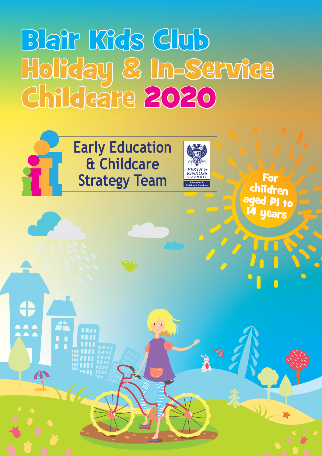# Blair Kids Club Holiday & In-Service Childcare 2020



**Early Education & Childcare Strategy Team**



For children aged P1 to **years**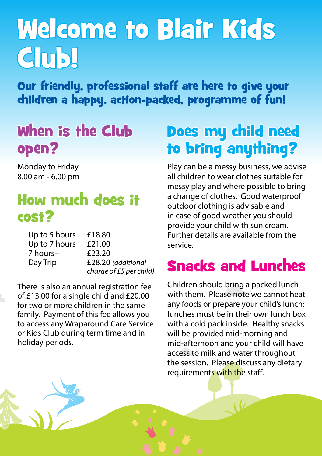# Welcome to Blair Kids Club!

Our friendly, professional staff are here to give your children a happy, action-packed, programme of fun!

## When is the Club open?

Monday to Friday 8.00 am - 6.00 pm

## How much does it cost?

| Up to 5 hours | £18.80                  |
|---------------|-------------------------|
| Up to 7 hours | £21.00                  |
| 7 hours+      | £23.20                  |
| Day Trip      | £28.20 (additional      |
|               | charge of £5 per child) |

There is also an annual registration fee of £13.00 for a single child and £20.00 for two or more children in the same family. Payment of this fee allows you to access any Wraparound Care Service or Kids Club during term time and in holiday periods.

## Does my child need to bring anything?

Play can be a messy business, we advise all children to wear clothes suitable for messy play and where possible to bring a change of clothes. Good waterproof outdoor clothing is advisable and in case of good weather you should provide your child with sun cream. Further details are available from the service.

## Snacks and Lunches

Children should bring a packed lunch with them. Please note we cannot heat any foods or prepare your child's lunch: lunches must be in their own lunch box with a cold pack inside. Healthy snacks will be provided mid-morning and mid-afternoon and your child will have access to milk and water throughout the session. Please discuss any dietary requirements with the staff.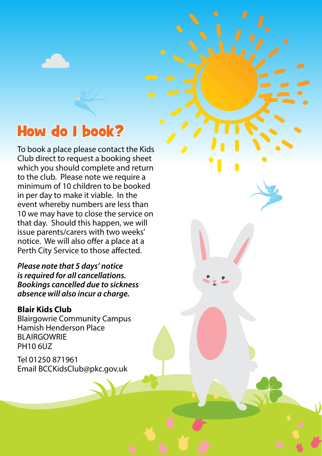## How do I book?

To book a place please contact the Kids Club direct to request a booking sheet which you should complete and return to the club. Please note we require a minimum of 10 children to be booked in per day to make it viable. In the event whereby numbers are less than 10 we may have to close the service on that day. Should this happen, we will issue parents/carers with two weeks' notice. We will also offer a place at a Perth City Service to those affected.

*Please note that 5 days' notice is required for all cancellations. Bookings cancelled due to sickness absence will also incur a charge.*

#### **Blair Kids Club**

Blairgowrie Community Campus Hamish Henderson Place BLAIRGOWRIE PH10 6UZ

Tel 01250 871961 Email BCCKidsClub@pkc.gov.uk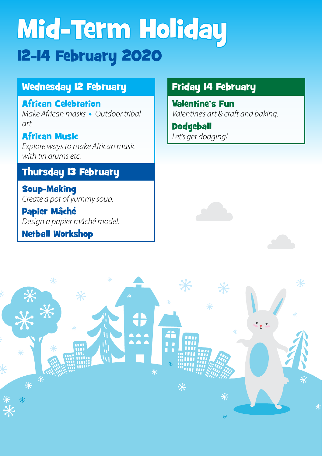# Mid-Term Holiday 12-14 February 2020

#### Wednesday 12 February

#### African Celebration

*Make African masks* • *Outdoor tribal art.*

#### African Music *Explore ways to make African music with tin drums etc.*

#### Thursday 13 February

Soup-Making *Create a pot of yummy soup.*

Papier Mâché *Design a papier mâché model.*

#### Netball Workshop

#### Friday 14 February

Valentine's Fun *Valentine's art & craft and baking.*

**Dodgeball** *Let's get dodging!*



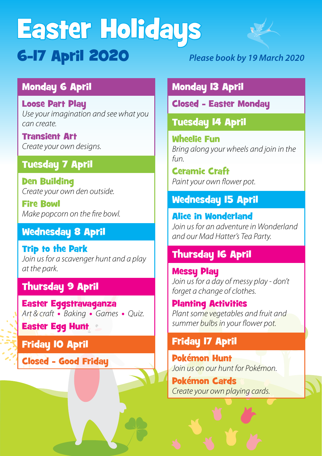# Easter Holidays 6-17 April 2020 *Please book by 19 March 2020*



#### Monday 6 April

Loose Part Play *Use your imagination and see what you can create.*

Transient Art *Create your own designs.*

#### Tuesday 7 April

Den Building *Create your own den outside.*

Fire Bowl *Make popcorn on the fire bowl.*

#### Wednesday 8 April

Trip to the Park *Join us for a scavenger hunt and a play at the park.*

#### Thursday 9 April

Easter Eggstravaganza *Art & craft* • *Baking* • *Games* • *Quiz.*

Easter Egg Hunt

#### Friday 10 April

Closed - Good Friday

#### Monday 13 April

Closed - Easter Monday

Tuesday 14 April

Wheelie Fun *Bring along your wheels and join in the fun.*

Ceramic Craft *Paint your own flower pot.*

#### Wednesday 15 April

Alice in Wonderland *Join us for an adventure in Wonderland and our Mad Hatter's Tea Party.*

#### Thursday 16 April

Messy Play *Join us for a day of messy play - don't forget a change of clothes.*

Planting Activities *Plant some vegetables and fruit and summer bulbs in your flower pot.*

#### Friday 17 April

Pokémon Hunt *Join us on our hunt for Pokémon.*

Pokémon Cards *Create your own playing cards.*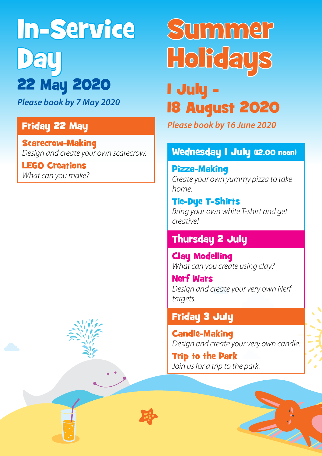In-Service Day 22 May 2020

*Please book by 7 May 2020*

#### Friday 22 May

Scarecrow-Making *Design and create your own scarecrow.*

LEGO Creations *What can you make?*

# Summer **Holidays**

1 July - 18 August 2020

*Please book by 16 June 2020*

#### Wednesday 1 July (12.00 noon)

Pizza-Making *Create your own yummy pizza to take home.*

Tie-Dye T-Shirts *Bring your own white T-shirt and get creative!*

#### Thursday 2 July

Clay Modelling *What can you create using clay?*

Nerf Wars *Design and create your very own Nerf targets.*

#### Friday 3 July

Candle-Making *Design and create your very own candle.*

Trip to the Park *Join us for a trip to the park.*



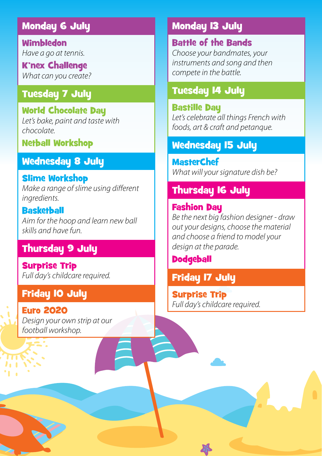#### Monday 6 July

Wimbledon *Have a go at tennis.*

K'nex Challenge *What can you create?*

#### Tuesday 7 July

World Chocolate Day *Let's bake, paint and taste with chocolate.*

#### Netball Workshop

#### Wednesday 8 July

### Slime Workshop

*Make a range of slime using different ingredients.*

**Basketball** *Aim for the hoop and learn new ball skills and have fun.*

#### Thursday 9 July

Surprise Trip *Full day's childcare required.*

#### Friday 10 July

Euro 2020 *Design your own strip at our football workshop.*

#### Monday 13 July

Battle of the Bands *Choose your bandmates, your instruments and song and then compete in the battle.*

#### Tuesday 14 July

Bastille Day *Let's celebrate all things French with foods, art & craft and petanque.*

#### Wednesday 15 July

**MasterChef** *What will your signature dish be?*

#### Thursday 16 July

#### Fashion Day *Be the next big fashion designer - draw out your designs, choose the material and choose a friend to model your design at the parade.*

#### **Dodgeball**

#### Friday 17 July

Surprise Trip *Full day's childcare required.*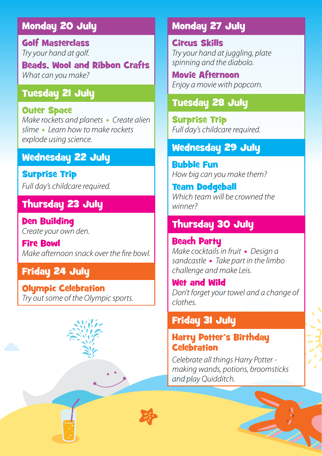#### Monday 20 July

Golf Masterclass *Try your hand at golf.*

Beads, Wool and Ribbon Crafts *What can you make?*

#### Tuesday 21 July

#### Outer Space

*Make rockets and planets* • *Create alien slime* • *Learn how to make rockets explode using science.*

#### Wednesday 22 July

Surprise Trip *Full day's childcare required.*

#### Thursday 23 July

Den Building *Create your own den.*

Fire Bowl *Make afternoon snack over the fire bowl.*

#### Friday 24 July

Olympic Celebration *Try out some of the Olympic sports.*

### Circus Skills

*Try your hand at juggling, plate spinning and the diabolo.*

Movie Afternoon *Enjoy a movie with popcorn.*

#### Tuesday 28 July

Monday 27 July

Surprise Trip *Full day's childcare required.*

#### Wednesday 29 July

Bubble Fun *How big can you make them?*

Team Dodgeball *Which team will be crowned the winner?*

#### Thursday 30 July

Beach Party *Make cocktails in fruit* • *Design a sandcastle* • *Take part in the limbo challenge and make Leis.*

Wet and Wild *Don't forget your towel and a change of clothes.*

#### Friday 31 July

#### Harry Potter's Birthday **Celebration**

*Celebrate all things Harry Potter making wands, potions, broomsticks and play Quidditch.*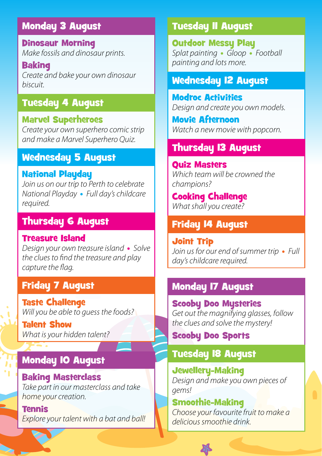#### Monday 3 August

Dinosaur Morning *Make fossils and dinosaur prints.*

**Baking** *Create and bake your own dinosaur biscuit.*

#### Tuesday 4 August

#### Marvel Superheroes

*Create your own superhero comic strip and make a Marvel Superhero Quiz.*

#### Wednesday 5 August

#### National Playday

*Join us on our trip to Perth to celebrate National Playday* • *Full day's childcare required.*

#### Thursday 6 August

#### Treasure Island

*Design your own treasure island* • *Solve the clues to find the treasure and play capture the flag.*

#### Friday 7 August

Taste Challenge *Will you be able to guess the foods?*

Talent Show *What is your hidden talent?*

#### **Monday 10 August**

Baking Masterclass *Take part in our masterclass and take home your creation.*

Tennis *Explore your talent with a bat and ball!*

#### Tuesday 11 August

**Outdoor Messu Plau** *Splat painting* • *Gloop* • *Football painting and lots more.*

#### Wednesday 12 August

Modroc Activities *Design and create you own models.*

Movie Afternoon *Watch a new movie with popcorn.*

#### Thursday 13 August

Quiz Masters *Which team will be crowned the champions?*

Cooking Challenge *What shall you create?*

#### Friday 14 August

Joint Trip *Join us for our end of summer trip* • *Full day's childcare required.*

#### Monday 17 August

Scooby Doo Mysteries *Get out the magnifying glasses, follow the clues and solve the mystery!*

Scooby Doo Sports

#### Tuesday 18 August

Jewellery-Making *Design and make you own pieces of gems!*

Smoothie-Making *Choose your favourite fruit to make a delicious smoothie drink.*

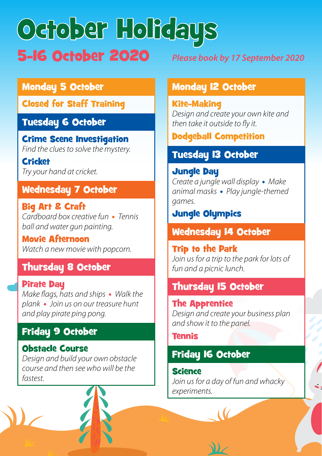# October Holidays 5-16 October 2020 *Please book by 17 September 2020*

#### Monday 5 October

Closed for Staff Training

#### Tuesday 6 October

Crime Scene Investigation *Find the clues to solve the mystery.*

**Cricket** *Try your hand at cricket.*

#### Wednesday 7 October

Big Art & Craft *Cardboard box creative fun* • *Tennis ball and water gun painting.*

Movie Afternoon *Watch a new movie with popcorn.*

#### Thursday 8 October

Pirate Day *Make flags, hats and ships* • *Walk the plank* • *Join us on our treasure hunt and play pirate ping pong.*

#### Friday 9 October

#### Obstacle Course

*Design and build your own obstacle course and then see who will be the fastest.*

#### Monday 12 October

Kite-Making *Design and create your own kite and then take it outside to fly it.*

Dodgeball Competition

#### Tuesday 13 October

#### Jungle Day

*Create a jungle wall display* • *Make animal masks* • *Play jungle-themed games.*

#### Jungle Olympics

#### Wednesday 14 October

Trip to the Park *Join us for a trip to the park for lots of fun and a picnic lunch.*

#### Thursday 15 October

The Apprentice *Design and create your business plan and show it to the panel.*

Tennis

#### Friday 16 October

Science *Join us for a day of fun and whacky experiments.*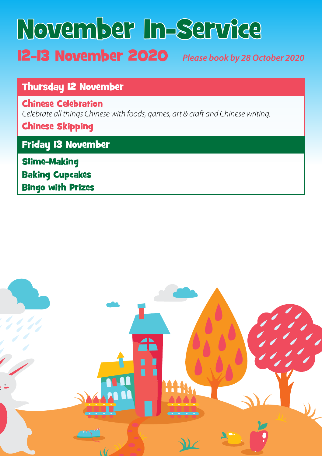# November In-Service 12-13 November 2020 *Please book by 28 October 2020*

#### Thursday 12 November

Chinese Celebration *Celebrate all things Chinese with foods, games, art & craft and Chinese writing.*

Chinese Skipping

Friday 13 November

Slime-Making Baking Cupcakes Bingo with Prizes